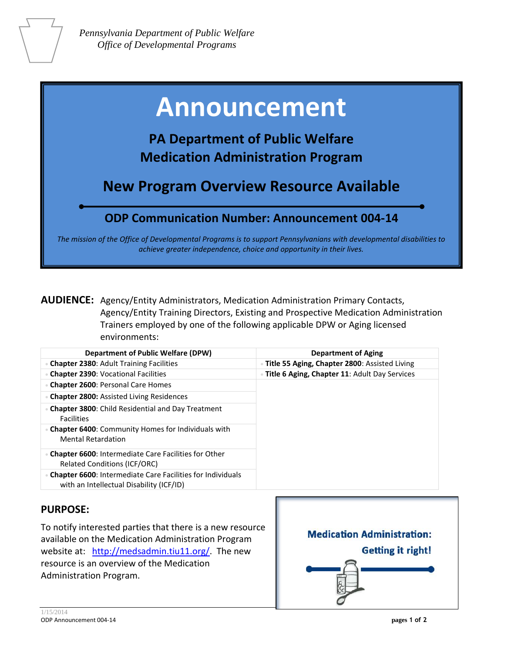# **Announcement**

**PA Department of Public Welfare Medication Administration Program**

**New Program Overview Resource Available** 

## **ODP Communication Number: Announcement 004-14**

*The mission of the Office of Developmental Programs is to support Pennsylvanians with developmental disabilities to achieve greater independence, choice and opportunity in their lives.*

**AUDIENCE:** Agency/Entity Administrators, Medication Administration Primary Contacts, Agency/Entity Training Directors, Existing and Prospective Medication Administration Trainers employed by one of the following applicable DPW or Aging licensed environments:

| <b>Department of Public Welfare (DPW)</b>                                                                     | <b>Department of Aging</b>                      |
|---------------------------------------------------------------------------------------------------------------|-------------------------------------------------|
| <b>Chapter 2380: Adult Training Facilities</b>                                                                | • Title 55 Aging, Chapter 2800: Assisted Living |
| <b>Chapter 2390: Vocational Facilities</b>                                                                    | · Title 6 Aging, Chapter 11: Adult Day Services |
| <b>Chapter 2600: Personal Care Homes</b>                                                                      |                                                 |
| <b>Chapter 2800: Assisted Living Residences</b>                                                               |                                                 |
| <b>Chapter 3800:</b> Child Residential and Day Treatment<br><b>Facilities</b>                                 |                                                 |
| • Chapter 6400: Community Homes for Individuals with<br><b>Mental Retardation</b>                             |                                                 |
| <b>Chapter 6600: Intermediate Care Facilities for Other</b><br><b>Related Conditions (ICF/ORC)</b>            |                                                 |
| <b>Chapter 6600: Intermediate Care Facilities for Individuals</b><br>with an Intellectual Disability (ICF/ID) |                                                 |

### **PURPOSE:**

To notify interested parties that there is a new resource available on the Medication Administration Program website at: [http://medsadmin.tiu11.org/.](http://medsadmin.tiu11.org/) The new resource is an overview of the Medication Administration Program.